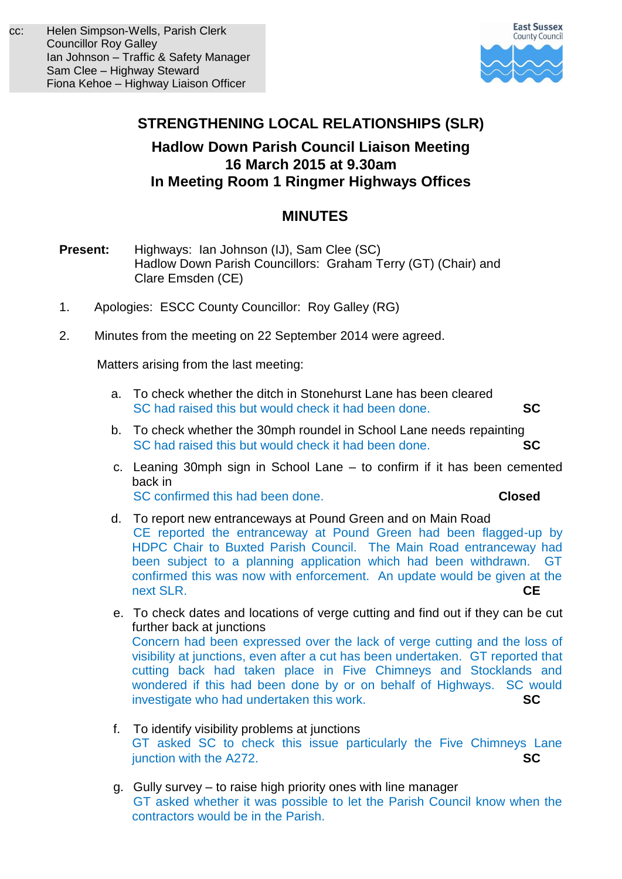

# **STRENGTHENING LOCAL RELATIONSHIPS (SLR)**

## **Hadlow Down Parish Council Liaison Meeting 16 March 2015 at 9.30am In Meeting Room 1 Ringmer Highways Offices**

## **MINUTES**

- **Present:** Highways:Ian Johnson (IJ), Sam Clee (SC) Hadlow Down Parish Councillors: Graham Terry (GT) (Chair) and Clare Emsden (CE)
- 1. Apologies: ESCC County Councillor: Roy Galley (RG)
- 2. Minutes from the meeting on 22 September 2014 were agreed.

Matters arising from the last meeting:

- a. To check whether the ditch in Stonehurst Lane has been cleared SC had raised this but would check it had been done. **SC**
- b. To check whether the 30mph roundel in School Lane needs repainting SC had raised this but would check it had been done. **SC**
- c. Leaning 30mph sign in School Lane to confirm if it has been cemented back in SC confirmed this had been done. **Closed**

- d. To report new entranceways at Pound Green and on Main Road CE reported the entranceway at Pound Green had been flagged-up by HDPC Chair to Buxted Parish Council. The Main Road entranceway had been subject to a planning application which had been withdrawn. GT confirmed this was now with enforcement. An update would be given at the next SLR. **CE**
- e. To check dates and locations of verge cutting and find out if they can be cut further back at junctions Concern had been expressed over the lack of verge cutting and the loss of visibility at junctions, even after a cut has been undertaken. GT reported that cutting back had taken place in Five Chimneys and Stocklands and wondered if this had been done by or on behalf of Highways. SC would investigate who had undertaken this work. **SC**
- f. To identify visibility problems at junctions GT asked SC to check this issue particularly the Five Chimneys Lane junction with the A272. **SC**
- g. Gully survey to raise high priority ones with line manager GT asked whether it was possible to let the Parish Council know when the contractors would be in the Parish.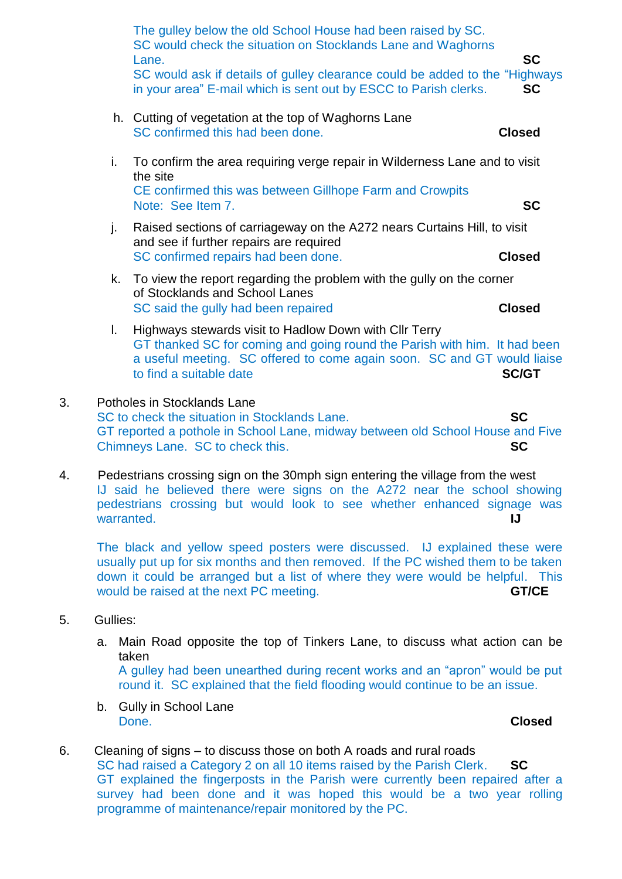|    |            | The gulley below the old School House had been raised by SC.<br>SC would check the situation on Stocklands Lane and Waghorns<br>Lane.<br>SC would ask if details of gulley clearance could be added to the "Highways"<br>in your area" E-mail which is sent out by ESCC to Parish clerks. | <b>SC</b><br><b>SC</b> |
|----|------------|-------------------------------------------------------------------------------------------------------------------------------------------------------------------------------------------------------------------------------------------------------------------------------------------|------------------------|
|    |            | h. Cutting of vegetation at the top of Waghorns Lane<br>SC confirmed this had been done.                                                                                                                                                                                                  | <b>Closed</b>          |
|    | i.         | To confirm the area requiring verge repair in Wilderness Lane and to visit<br>the site<br>CE confirmed this was between Gillhope Farm and Crowpits<br>Note: See Item 7.                                                                                                                   | <b>SC</b>              |
|    | j.         | Raised sections of carriageway on the A272 nears Curtains Hill, to visit<br>and see if further repairs are required<br>SC confirmed repairs had been done.                                                                                                                                | <b>Closed</b>          |
|    | k.         | To view the report regarding the problem with the gully on the corner<br>of Stocklands and School Lanes<br>SC said the gully had been repaired                                                                                                                                            | <b>Closed</b>          |
|    | L.         | Highways stewards visit to Hadlow Down with Cllr Terry<br>GT thanked SC for coming and going round the Parish with him. It had been<br>a useful meeting. SC offered to come again soon. SC and GT would liaise<br>to find a suitable date                                                 | <b>SC/GT</b>           |
| 3. |            | Potholes in Stocklands Lane<br>SC to check the situation in Stocklands Lane.<br>GT reported a pothole in School Lane, midway between old School House and Five<br>Chimneys Lane. SC to check this.                                                                                        | <b>SC</b><br>SC        |
| 4. | warranted. | Pedestrians crossing sign on the 30mph sign entering the village from the west<br>IJ said he believed there were signs on the A272 near the school showing<br>pedestrians crossing but would look to see whether enhanced signage was                                                     | IJ                     |
|    |            | The black and yellow speed posters were discussed. IJ explained these were<br>usually put up for six months and then removed. If the PC wished them to be taken<br>down it could be arranged but a list of where they were would be helpful. This                                         |                        |

- 5. Gullies:
	- a. Main Road opposite the top of Tinkers Lane, to discuss what action can be taken A gulley had been unearthed during recent works and an "apron" would be put round it. SC explained that the field flooding would continue to be an issue.

would be raised at the next PC meeting. **GT/CE** 

b. Gully in School Lane Done. **Closed**

6. Cleaning of signs – to discuss those on both A roads and rural roads SC had raised a Category 2 on all 10 items raised by the Parish Clerk. **SC** GT explained the fingerposts in the Parish were currently been repaired after a survey had been done and it was hoped this would be a two year rolling programme of maintenance/repair monitored by the PC.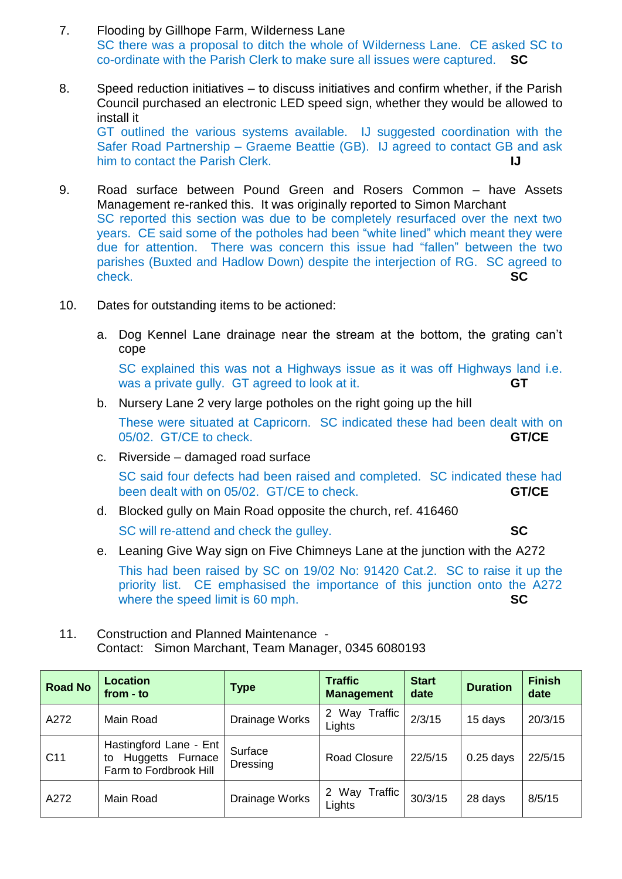- 7. Flooding by Gillhope Farm, Wilderness Lane SC there was a proposal to ditch the whole of Wilderness Lane. CE asked SC to co-ordinate with the Parish Clerk to make sure all issues were captured. **SC**
- 8. Speed reduction initiatives to discuss initiatives and confirm whether, if the Parish Council purchased an electronic LED speed sign, whether they would be allowed to install it GT outlined the various systems available. IJ suggested coordination with the Safer Road Partnership – Graeme Beattie (GB). IJ agreed to contact GB and ask him to contact the Parish Clerk. **IJ**
- 9. Road surface between Pound Green and Rosers Common have Assets Management re-ranked this. It was originally reported to Simon Marchant SC reported this section was due to be completely resurfaced over the next two years. CE said some of the potholes had been "white lined" which meant they were due for attention. There was concern this issue had "fallen" between the two parishes (Buxted and Hadlow Down) despite the interjection of RG. SC agreed to check. **SC**
- 10. Dates for outstanding items to be actioned:
	- a. Dog Kennel Lane drainage near the stream at the bottom, the grating can't cope

SC explained this was not a Highways issue as it was off Highways land i.e. was a private gully. GT agreed to look at it. **GT** 

b. Nursery Lane 2 very large potholes on the right going up the hill

These were situated at Capricorn. SC indicated these had been dealt with on 05/02. GT/CE to check. **GT/CE**

c. Riverside – damaged road surface

SC said four defects had been raised and completed. SC indicated these had been dealt with on 05/02. GT/CE to check. **GT/CE** 

- d. Blocked gully on Main Road opposite the church, ref. 416460 SC will re-attend and check the gulley. **SC**
- e. Leaning Give Way sign on Five Chimneys Lane at the junction with the A272

This had been raised by SC on 19/02 No: 91420 Cat.2. SC to raise it up the priority list. CE emphasised the importance of this junction onto the A272 where the speed limit is 60 mph. **SC** 

11. Construction and Planned Maintenance - Contact: Simon Marchant, Team Manager, 0345 6080193

| <b>Road No</b>  | <b>Location</b><br>from - to                                               | Type                | <b>Traffic</b><br><b>Management</b>  | <b>Start</b><br>date | <b>Duration</b> | <b>Finish</b><br>date |
|-----------------|----------------------------------------------------------------------------|---------------------|--------------------------------------|----------------------|-----------------|-----------------------|
| A272            | Main Road                                                                  | Drainage Works      | Way Traffic<br>$2^{\circ}$<br>Lights | 2/3/15               | 15 days         | 20/3/15               |
| C <sub>11</sub> | Hastingford Lane - Ent<br>Huggetts Furnace<br>to<br>Farm to Fordbrook Hill | Surface<br>Dressing | <b>Road Closure</b>                  | 22/5/15              | $0.25$ days     | 22/5/15               |
| A272            | Main Road                                                                  | Drainage Works      | 2 Way Traffic<br>Lights              | 30/3/15              | 28 days         | 8/5/15                |